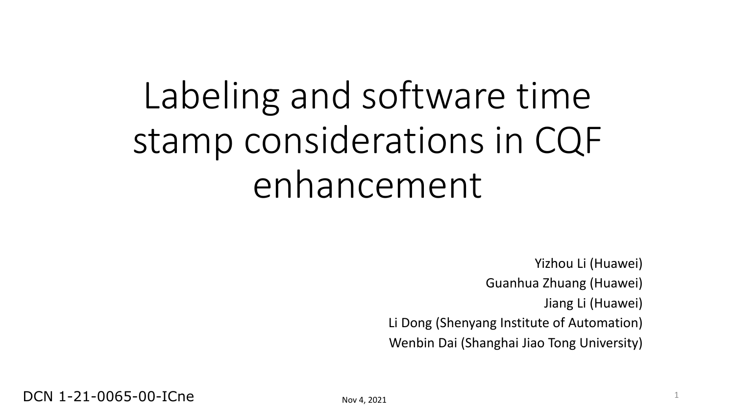# Labeling and software time stamp considerations in CQF enhancement

Yizhou Li (Huawei) Guanhua Zhuang (Huawei) Jiang Li (Huawei) Li Dong (Shenyang Institute of Automation) Wenbin Dai (Shanghai Jiao Tong University)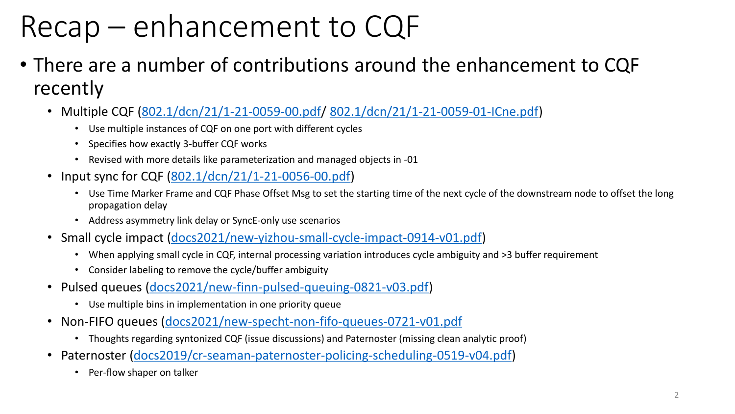#### Recap – enhancement to CQF

- There are a number of contributions around the enhancement to CQF recently
	- Multiple CQF ([802.1/dcn/21/1-21-0059-00.pdf/](https://mentor.ieee.org/802.1/dcn/21/1-21-0059-00.pdf) [802.1/dcn/21/1-21-0059-01-ICne.pdf\)](https://mentor.ieee.org/802.1/dcn/21/1-21-0059-01-ICne.pdf)
		- Use multiple instances of CQF on one port with different cycles
		- Specifies how exactly 3-buffer CQF works
		- Revised with more details like parameterization and managed objects in -01
	- Input sync for CQF [\(802.1/dcn/21/1-21-0056-00.pdf\)](https://mentor.ieee.org/802.1/dcn/21/1-21-0056-00.pdf)
		- Use Time Marker Frame and CQF Phase Offset Msg to set the starting time of the next cycle of the downstream node to offset the long propagation delay
		- Address asymmetry link delay or SyncE-only use scenarios
	- Small cycle impact ([docs2021/new-yizhou-small-cycle-impact-0914-v01.pdf](https://www.ieee802.org/1/files/public/docs2021/new-yizhou-small-cycle-impact-0914-v01.pdf))
		- When applying small cycle in CQF, internal processing variation introduces cycle ambiguity and >3 buffer requirement
		- Consider labeling to remove the cycle/buffer ambiguity
	- Pulsed queues [\(docs2021/new-finn-pulsed-queuing-0821-v03.pdf](https://www.ieee802.org/1/files/public/docs2021/new-finn-pulsed-queuing-0821-v03.pdf))
		- Use multiple bins in implementation in one priority queue
	- Non-FIFO queues ([docs2021/new-specht-non-fifo-queues-0721-v01.pdf](https://www.ieee802.org/1/files/public/docs2021/new-specht-non-fifo-queues-0721-v01.pdf)
		- Thoughts regarding syntonized CQF (issue discussions) and Paternoster (missing clean analytic proof)
	- Paternoster ([docs2019/cr-seaman-paternoster-policing-scheduling-0519-v04.pdf](https://www.ieee802.org/1/files/public/docs2019/cr-seaman-paternoster-policing-scheduling-0519-v04.pdf))
		- Per-flow shaper on talker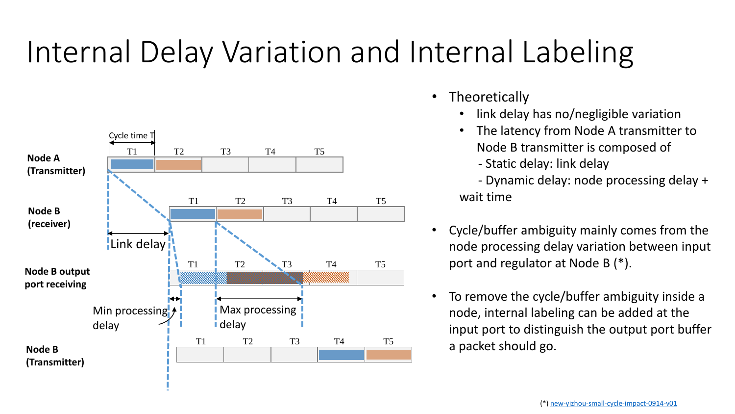#### Internal Delay Variation and Internal Labeling



- **Theoretically** 
	- link delay has no/negligible variation
	- The latency from Node A transmitter to Node B transmitter is composed of
		- Static delay: link delay
	- Dynamic delay: node processing delay + wait time
- Cycle/buffer ambiguity mainly comes from the node processing delay variation between input port and regulator at Node B (\*).
- To remove the cycle/buffer ambiguity inside a node, internal labeling can be added at the input port to distinguish the output port buffer a packet should go.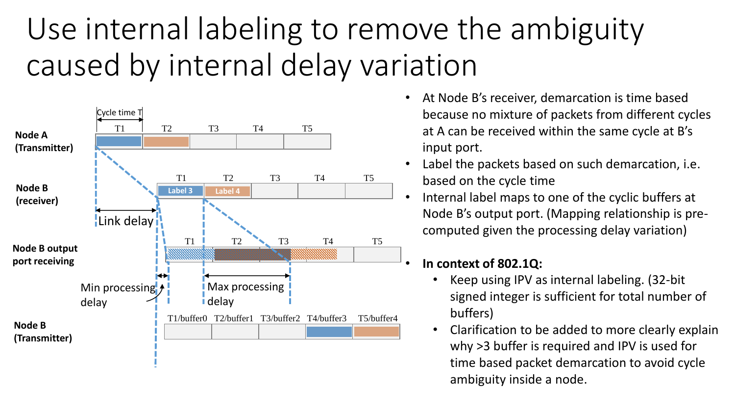#### Use internal labeling to remove the ambiguity caused by internal delay variation



- At Node B's receiver, demarcation is time based because no mixture of packets from different cycles at A can be received within the same cycle at B's input port.
- Label the packets based on such demarcation, i.e. based on the cycle time
- Internal label maps to one of the cyclic buffers at Node B's output port. (Mapping relationship is precomputed given the processing delay variation)

#### • **In context of 802.1Q:**

- Keep using IPV as internal labeling. (32-bit signed integer is sufficient for total number of buffers)
- Clarification to be added to more clearly explain why >3 buffer is required and IPV is used for time based packet demarcation to avoid cycle ambiguity inside a node.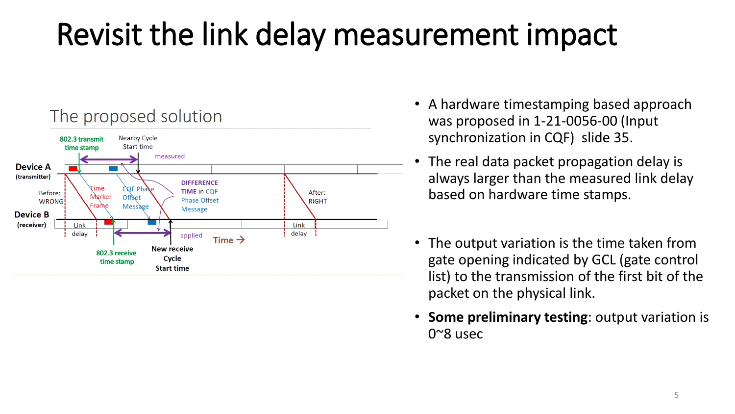### Revisit the link delay measurement impact



- A hardware timestamping based approach was proposed in 1-21-0056-00 (Input synchronization in CQF) slide 35.
- The real data packet propagation delay is always larger than the measured link delay based on hardware time stamps.
- The output variation is the time taken from gate opening indicated by GCL (gate control list) to the transmission of the first bit of the packet on the physical link.
- **Some preliminary testing**: output variation is 0~8 usec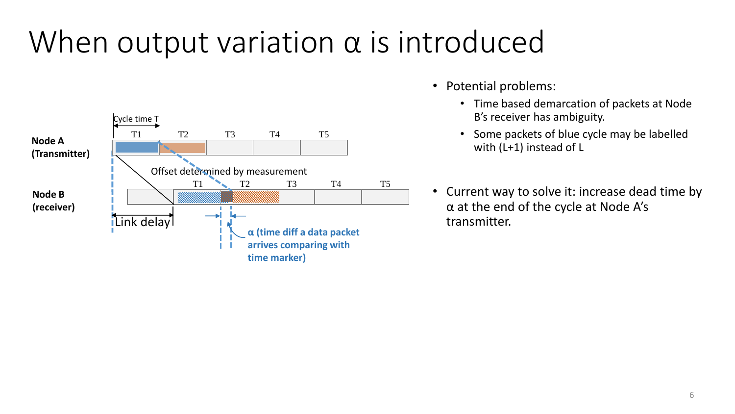#### When output variation  $\alpha$  is introduced



- Potential problems:
	- Time based demarcation of packets at Node B's receiver has ambiguity.
	- Some packets of blue cycle may be labelled with (L+1) instead of L
- Current way to solve it: increase dead time by α at the end of the cycle at Node A's transmitter.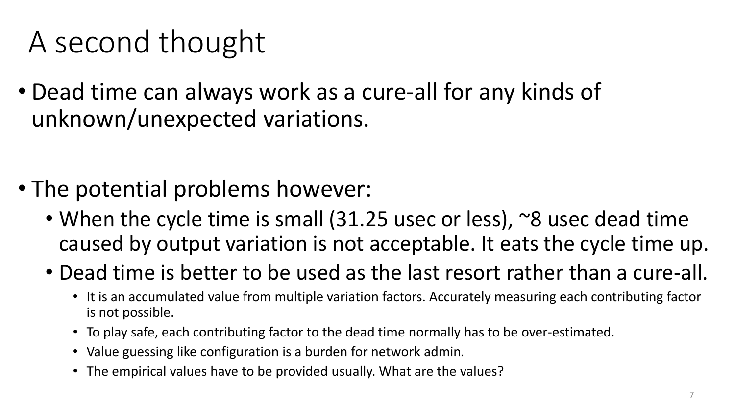#### A second thought

• Dead time can always work as a cure-all for any kinds of unknown/unexpected variations.

- The potential problems however:
	- When the cycle time is small (31.25 usec or less), ~8 usec dead time caused by output variation is not acceptable. It eats the cycle time up.
	- Dead time is better to be used as the last resort rather than a cure-all.
		- It is an accumulated value from multiple variation factors. Accurately measuring each contributing factor is not possible.
		- To play safe, each contributing factor to the dead time normally has to be over-estimated.
		- Value guessing like configuration is a burden for network admin.
		- The empirical values have to be provided usually. What are the values?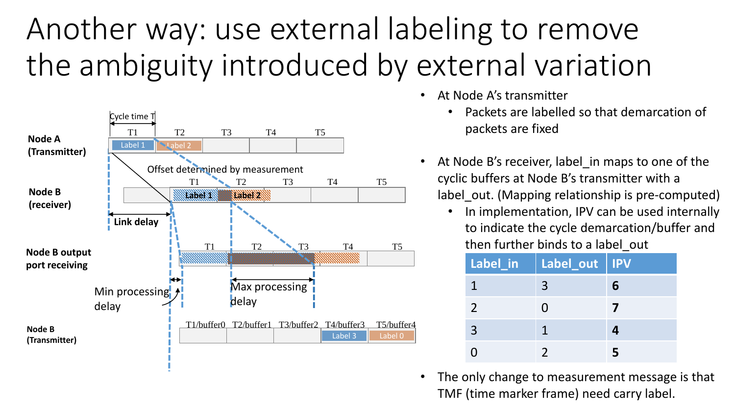### Another way: use external labeling to remove the ambiguity introduced by external variation



- At Node A's transmitter
	- Packets are labelled so that demarcation of packets are fixed
- At Node B's receiver, label in maps to one of the cyclic buffers at Node B's transmitter with a label out. (Mapping relationship is pre-computed)
	- In implementation, IPV can be used internally to indicate the cycle demarcation/buffer and then further binds to a label\_out

| Label_in       | Label_out   IPV |   |
|----------------|-----------------|---|
|                | $\mathbf{R}$    | 6 |
| 2              | $\blacksquare$  |   |
| $\overline{3}$ |                 |   |
|                |                 |   |

The only change to measurement message is that TMF (time marker frame) need carry label.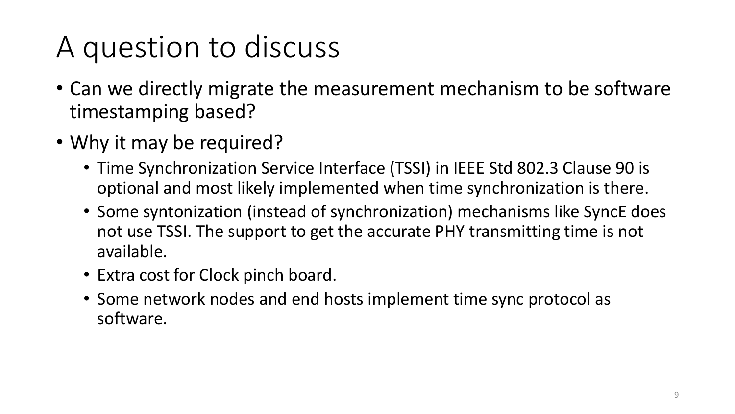### A question to discuss

- Can we directly migrate the measurement mechanism to be software timestamping based?
- Why it may be required?
	- Time Synchronization Service Interface (TSSI) in IEEE Std 802.3 Clause 90 is optional and most likely implemented when time synchronization is there.
	- Some syntonization (instead of synchronization) mechanisms like SyncE does not use TSSI. The support to get the accurate PHY transmitting time is not available.
	- Extra cost for Clock pinch board.
	- Some network nodes and end hosts implement time sync protocol as software.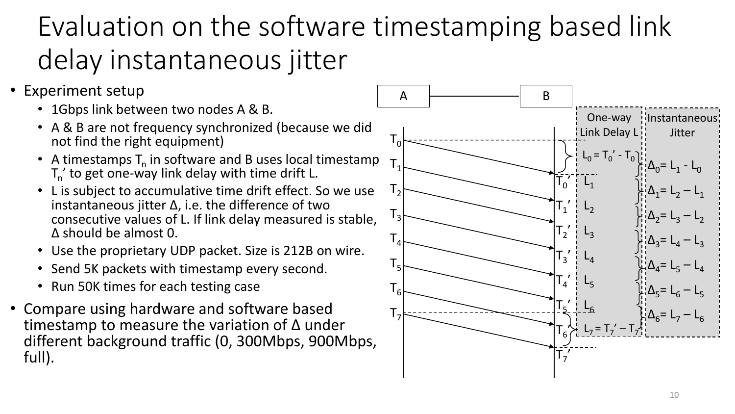#### Evaluation on the software timestamping based link delay instantaneous jitter

- Experiment setup
	- 1Gbps link between two nodes A & B.
	- A & B are not frequency synchronized (because we did not find the right equipment)
	- A timestamps  $T_n$  in software and B uses local timestamp  $T_{n}^{\prime}$  to get one-way link delay with time drift L.
	- L is subject to accumulative time drift effect. So we use instantaneous jitter  $\Delta$ , i.e. the difference of two consecutive values of L. If link delay measured is stable, Δ should be almost 0.
	- Use the proprietary UDP packet. Size is 212B on wire.
	- Send 5K packets with timestamp every second.
	- Run 50K times for each testing case
- Compare using hardware and software based timestamp to measure the variation of Δ under different background traffic (0, 300Mbps, 900Mbps, full).

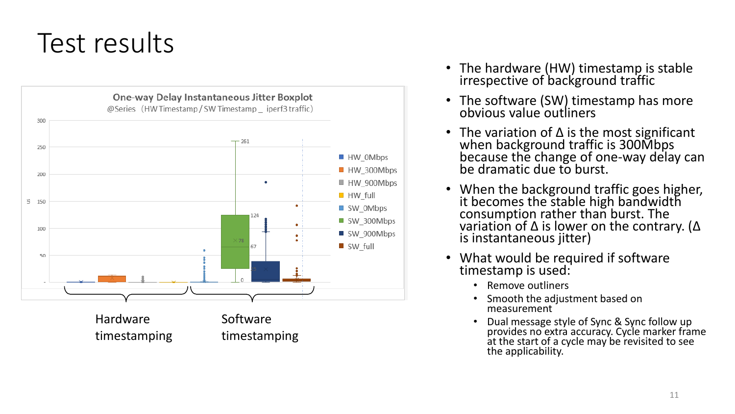#### Test results



- The hardware (HW) timestamp is stable irrespective of background traffic
- The software (SW) timestamp has more obvious value outliners
- The variation of  $\Delta$  is the most significant when background traffic is 300Mbps because the change of one -way delay can be dramatic due to burst.
- $\bullet$ When the background traffic goes higher, it becomes the stable high bandwidth consumption rather than burst. The variation of Δ is lower on the contrary. ( Δ is instantaneous jitter)
- What would be required if software timestamp is used:
	- Remove outliners
	- Smooth the adjustment based on measurement
	- Dual message style of Sync & Sync follow up provides no extra accuracy. Cycle marker frame at the start of a cycle may be revisited to see the applicability.